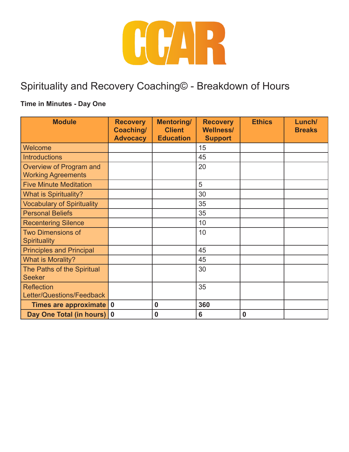

# Spirituality and Recovery Coaching© - Breakdown of Hours

### **Time in Minutes - Day One**

| <b>Module</b>                                        | <b>Recovery</b><br>Coaching/ | <b>Mentoring/</b><br><b>Client</b> | <b>Recovery</b><br><b>Wellness/</b> | <b>Ethics</b> | Lunch/<br><b>Breaks</b> |
|------------------------------------------------------|------------------------------|------------------------------------|-------------------------------------|---------------|-------------------------|
|                                                      | <b>Advocacy</b>              | <b>Education</b>                   | <b>Support</b>                      |               |                         |
| Welcome                                              |                              |                                    | 15                                  |               |                         |
| <b>Introductions</b>                                 |                              |                                    | 45                                  |               |                         |
| Overview of Program and<br><b>Working Agreements</b> |                              |                                    | 20                                  |               |                         |
| <b>Five Minute Meditation</b>                        |                              |                                    | 5                                   |               |                         |
| What is Spirituality?                                |                              |                                    | 30                                  |               |                         |
| <b>Vocabulary of Spirituality</b>                    |                              |                                    | 35                                  |               |                         |
| <b>Personal Beliefs</b>                              |                              |                                    | 35                                  |               |                         |
| <b>Recentering Silence</b>                           |                              |                                    | 10                                  |               |                         |
| <b>Two Dimensions of</b>                             |                              |                                    | 10                                  |               |                         |
| <b>Spirituality</b>                                  |                              |                                    |                                     |               |                         |
| <b>Principles and Principal</b>                      |                              |                                    | 45                                  |               |                         |
| What is Morality?                                    |                              |                                    | 45                                  |               |                         |
| The Paths of the Spiritual                           |                              |                                    | 30                                  |               |                         |
| <b>Seeker</b>                                        |                              |                                    |                                     |               |                         |
| <b>Reflection</b>                                    |                              |                                    | 35                                  |               |                         |
| Letter/Questions/Feedback                            |                              |                                    |                                     |               |                         |
| Times are approximate                                | $\overline{\mathbf{0}}$      | $\bf{0}$                           | 360                                 |               |                         |
| Day One Total (in hours) 0                           |                              | $\bf{0}$                           | 6                                   | $\mathbf 0$   |                         |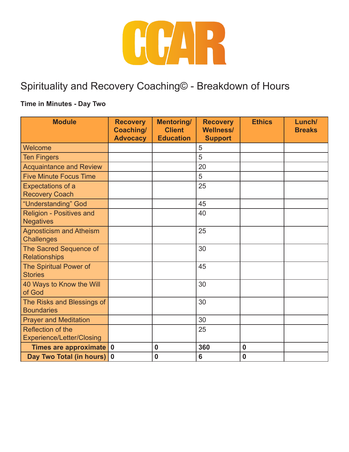

# Spirituality and Recovery Coaching© - Breakdown of Hours

### **Time in Minutes - Day Two**

| <b>Module</b>                                         | <b>Recovery</b><br>Coaching/<br><b>Advocacy</b> | <b>Mentoring/</b><br><b>Client</b><br><b>Education</b> | <b>Recovery</b><br><b>Wellness/</b><br><b>Support</b> | <b>Ethics</b> | Lunch/<br><b>Breaks</b> |
|-------------------------------------------------------|-------------------------------------------------|--------------------------------------------------------|-------------------------------------------------------|---------------|-------------------------|
| Welcome                                               |                                                 |                                                        | 5                                                     |               |                         |
| <b>Ten Fingers</b>                                    |                                                 |                                                        | 5                                                     |               |                         |
| <b>Acquaintance and Review</b>                        |                                                 |                                                        | 20                                                    |               |                         |
| <b>Five Minute Focus Time</b>                         |                                                 |                                                        | 5                                                     |               |                         |
| <b>Expectations of a</b><br><b>Recovery Coach</b>     |                                                 |                                                        | 25                                                    |               |                         |
| "Understanding" God                                   |                                                 |                                                        | 45                                                    |               |                         |
| <b>Religion - Positives and</b><br><b>Negatives</b>   |                                                 |                                                        | 40                                                    |               |                         |
| <b>Agnosticism and Atheism</b><br><b>Challenges</b>   |                                                 |                                                        | 25                                                    |               |                         |
| The Sacred Sequence of<br><b>Relationships</b>        |                                                 |                                                        | 30                                                    |               |                         |
| The Spiritual Power of<br><b>Stories</b>              |                                                 |                                                        | 45                                                    |               |                         |
| 40 Ways to Know the Will<br>of God                    |                                                 |                                                        | 30                                                    |               |                         |
| The Risks and Blessings of<br><b>Boundaries</b>       |                                                 |                                                        | 30                                                    |               |                         |
| <b>Prayer and Meditation</b>                          |                                                 |                                                        | 30                                                    |               |                         |
| Reflection of the<br><b>Experience/Letter/Closing</b> |                                                 |                                                        | 25                                                    |               |                         |
| Times are approximate 0                               |                                                 | $\bf{0}$                                               | 360                                                   | 0             |                         |
| Day Two Total (in hours)                              | $\overline{\mathbf{0}}$                         | $\bf{0}$                                               | $6\phantom{1}6$                                       | $\mathbf 0$   |                         |